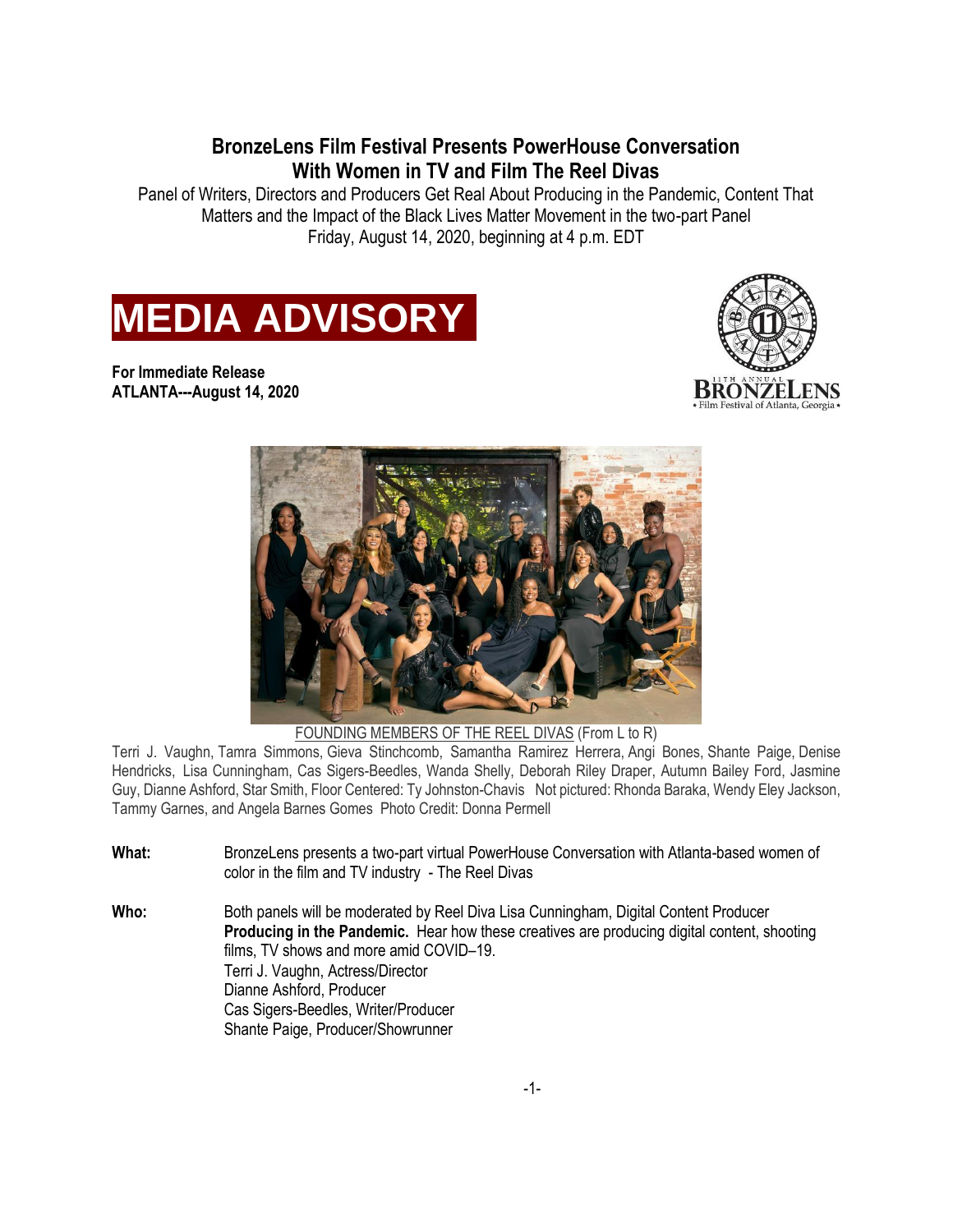**BronzeLens Film Festival Presents PowerHouse Conversation With Women in TV and Film The Reel Divas**

Panel of Writers, Directors and Producers Get Real About Producing in the Pandemic, Content That Matters and the Impact of the Black Lives Matter Movement in the two-part Panel Friday, August 14, 2020, beginning at 4 p.m. EDT



**For Immediate Release ATLANTA---August 14, 2020**





FOUNDING MEMBERS OF THE REEL DIVAS (From L to R)

Terri J. Vaughn, Tamra Simmons, Gieva Stinchcomb, Samantha Ramirez Herrera, Angi Bones, Shante Paige, Denise Hendricks, Lisa Cunningham, Cas Sigers-Beedles, Wanda Shelly, Deborah Riley Draper, Autumn Bailey Ford, Jasmine Guy, Dianne Ashford, Star Smith, Floor Centered: Ty Johnston-Chavis Not pictured: Rhonda Baraka, Wendy Eley Jackson, Tammy Garnes, and Angela Barnes Gomes Photo Credit: Donna Permell

- **What:** BronzeLens presents a two-part virtual PowerHouse Conversation with Atlanta-based women of color in the film and TV industry - The Reel Divas
- **Who:** Both panels will be moderated by Reel Diva Lisa Cunningham, Digital Content Producer **Producing in the Pandemic.** Hear how these creatives are producing digital content, shooting films, TV shows and more amid COVID–19. Terri J. Vaughn, Actress/Director Dianne Ashford, Producer Cas Sigers-Beedles, Writer/Producer Shante Paige, Producer/Showrunner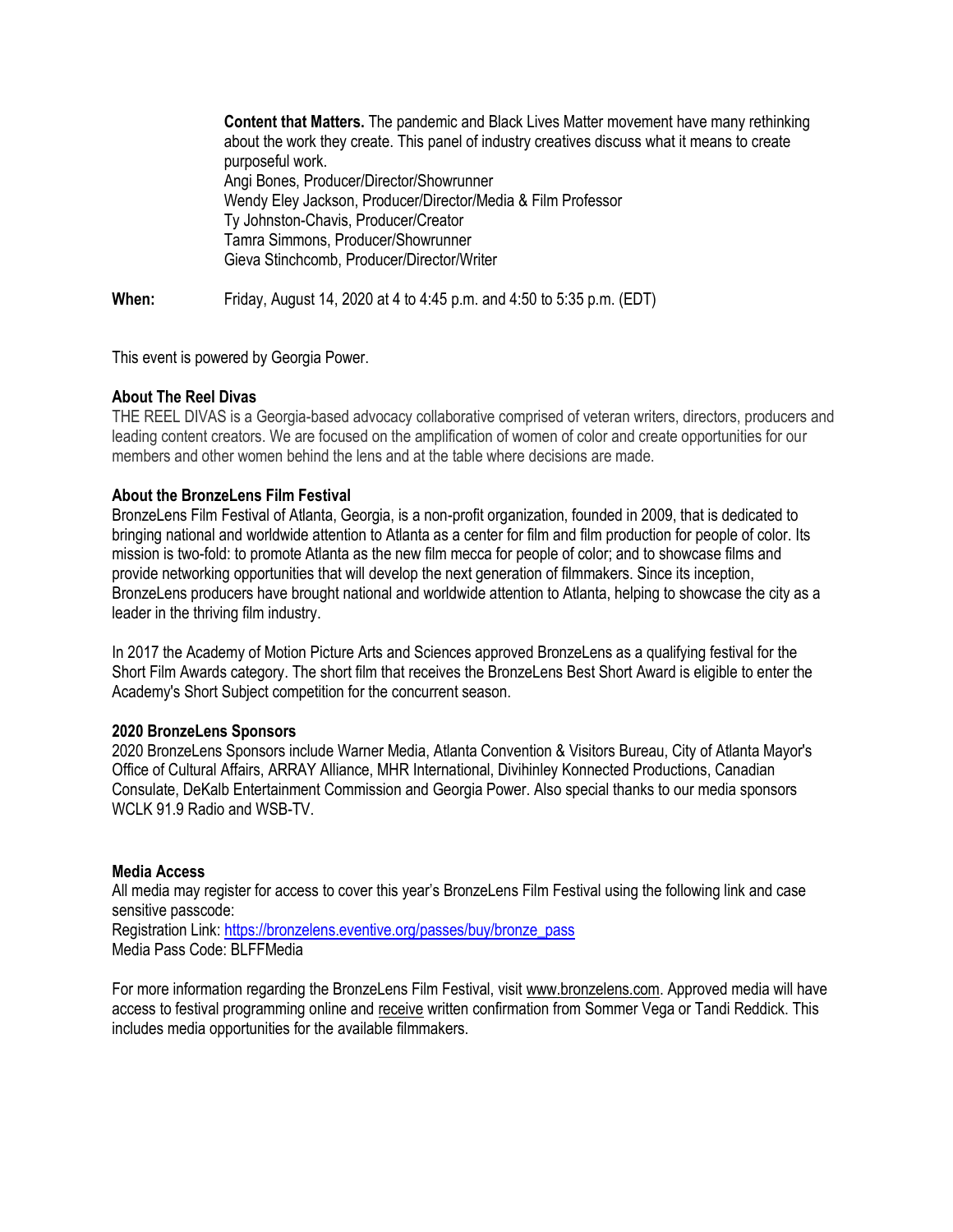**Content that Matters.** The pandemic and Black Lives Matter movement have many rethinking about the work they create. This panel of industry creatives discuss what it means to create purposeful work. Angi Bones, Producer/Director/Showrunner Wendy Eley Jackson, Producer/Director/Media & Film Professor Ty Johnston-Chavis, Producer/Creator Tamra Simmons, Producer/Showrunner Gieva Stinchcomb, Producer/Director/Writer

**When:** Friday, August 14, 2020 at 4 to 4:45 p.m. and 4:50 to 5:35 p.m. (EDT)

This event is powered by Georgia Power.

## **About The Reel Divas**

THE REEL DIVAS is a Georgia-based advocacy collaborative comprised of veteran writers, directors, producers and leading content creators. We are focused on the amplification of women of color and create opportunities for our members and other women behind the lens and at the table where decisions are made.

## **About the BronzeLens Film Festival**

BronzeLens Film Festival of Atlanta, Georgia, is a non-profit organization, founded in 2009, that is dedicated to bringing national and worldwide attention to Atlanta as a center for film and film production for people of color. Its mission is two-fold: to promote Atlanta as the new film mecca for people of color; and to showcase films and provide networking opportunities that will develop the next generation of filmmakers. Since its inception, BronzeLens producers have brought national and worldwide attention to Atlanta, helping to showcase the city as a leader in the thriving film industry.

In 2017 the Academy of Motion Picture Arts and Sciences approved BronzeLens as a qualifying festival for the Short Film Awards category. The short film that receives the BronzeLens Best Short Award is eligible to enter the Academy's Short Subject competition for the concurrent season.

## **2020 BronzeLens Sponsors**

2020 BronzeLens Sponsors include Warner Media, Atlanta Convention & Visitors Bureau, City of Atlanta Mayor's Office of Cultural Affairs, ARRAY Alliance, MHR International, Divihinley Konnected Productions, Canadian Consulate, DeKalb Entertainment Commission and Georgia Power. Also special thanks to our media sponsors WCLK 91.9 Radio and WSB-TV.

## **Media Access**

All media may register for access to cover this year's BronzeLens Film Festival using the following link and case sensitive passcode:

Registration Link: [https://bronzelens.eventive.org/passes/buy/bronze\\_pass](https://bronzelens.eventive.org/passes/buy/bronze_pass) Media Pass Code: BLFFMedia

For more information regarding the BronzeLens Film Festival, visit [www.bronzelens.com.](http://www.bronzelens.com/) Approved media will have access to festival programming online and receive written confirmation from Sommer Vega or Tandi Reddick. This includes media opportunities for the available filmmakers.